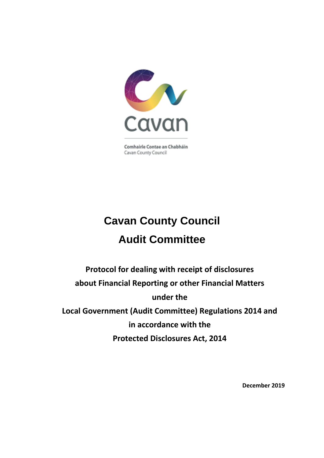

Comhairle Contae an Chabháin Cavan County Council

# **Cavan County Council Audit Committee**

**Protocol for dealing with receipt of disclosures about Financial Reporting or other Financial Matters under the Local Government (Audit Committee) Regulations 2014 and in accordance with the Protected Disclosures Act, 2014**

**December 2019**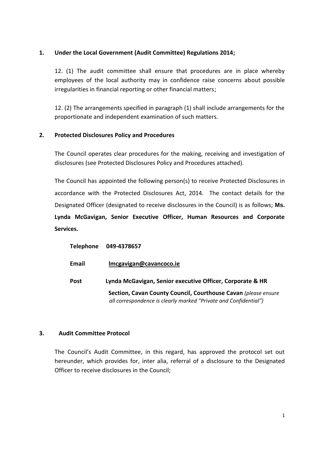## **1. Under the Local Government (Audit Committee) Regulations 2014;**

12. (1) The audit committee shall ensure that procedures are in place whereby employees of the local authority may in confidence raise concerns about possible irregularities in financial reporting or other financial matters;

12. (2) The arrangements specified in paragraph (1) shall include arrangements for the proportionate and independent examination of such matters.

# **2. Protected Disclosures Policy and Procedures**

The Council operates clear procedures for the making, receiving and investigation of disclosures (see Protected Disclosures Policy and Procedures attached).

The Council has appointed the following person(s) to receive Protected Disclosures in accordance with the Protected Disclosures Act, 2014. The contact details for the Designated Officer (designated to receive disclosures in the Council) is as follows; **Ms. Lynda McGavigan, Senior Executive Officer, Human Resources and Corporate Services.** 

| Telephone   | 049-4378657                                                                                                                        |
|-------------|------------------------------------------------------------------------------------------------------------------------------------|
| Email       | Imcgavigan@cavancoco.ie                                                                                                            |
| <b>Post</b> | Lynda McGavigan, Senior executive Officer, Corporate & HR                                                                          |
|             | Section, Cavan County Council, Courthouse Cavan (please ensure<br>all correspondence is clearly marked "Private and Confidential") |

### **3. Audit Committee Protocol**

The Council's Audit Committee, in this regard, has approved the protocol set out hereunder, which provides for, inter alia, referral of a disclosure to the Designated Officer to receive disclosures in the Council;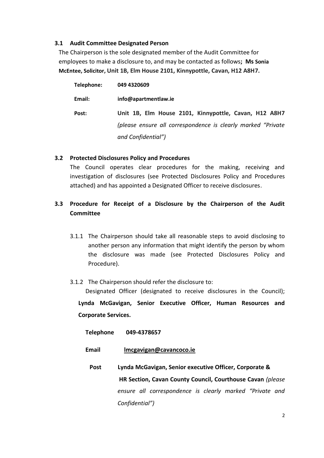#### **3.1 Audit Committee Designated Person**

The Chairperson is the sole designated member of the Audit Committee for employees to make a disclosure to, and may be contacted as follows**; Ms Sonia McEntee, Solicitor, Unit 1B, Elm House 2101, Kinnypottle, Cavan, H12 A8H7.**

| Telephone: | 049 4320609                                                    |
|------------|----------------------------------------------------------------|
| Email:     | info@apartmentlaw.ie                                           |
| Post:      | Unit 1B, Elm House 2101, Kinnypottle, Cavan, H12 A8H7          |
|            | (please ensure all correspondence is clearly marked "Private") |
|            | and Confidential")                                             |

#### **3.2 Protected Disclosures Policy and Procedures**

The Council operates clear procedures for the making, receiving and investigation of disclosures (see Protected Disclosures Policy and Procedures attached) and has appointed a Designated Officer to receive disclosures.

# **3.3 Procedure for Receipt of a Disclosure by the Chairperson of the Audit Committee**

- 3.1.1 The Chairperson should take all reasonable steps to avoid disclosing to another person any information that might identify the person by whom the disclosure was made (see Protected Disclosures Policy and Procedure).
- 3.1.2 The Chairperson should refer the disclosure to:

Designated Officer (designated to receive disclosures in the Council);

**Lynda McGavigan, Senior Executive Officer, Human Resources and Corporate Services.** 

**Telephone 049-4378657** 

#### **Email [lmcgavigan@cavancoco.ie](mailto:lmcgavigan@cavancoco.ie)**

**Post Lynda McGavigan, Senior executive Officer, Corporate & HR Section, Cavan County Council, Courthouse Cavan** *(please ensure all correspondence is clearly marked "Private and Confidential")*